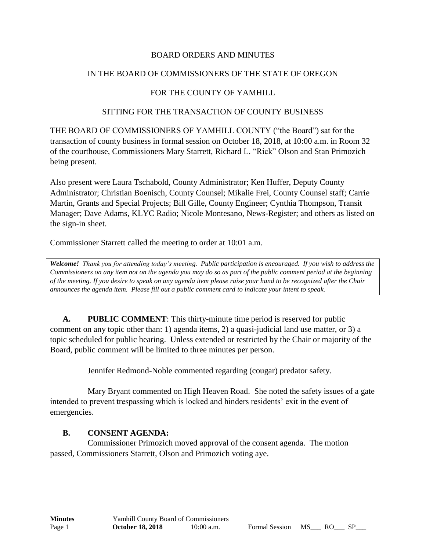#### BOARD ORDERS AND MINUTES

### IN THE BOARD OF COMMISSIONERS OF THE STATE OF OREGON

## FOR THE COUNTY OF YAMHILL

#### SITTING FOR THE TRANSACTION OF COUNTY BUSINESS

THE BOARD OF COMMISSIONERS OF YAMHILL COUNTY ("the Board") sat for the transaction of county business in formal session on October 18, 2018, at 10:00 a.m. in Room 32 of the courthouse, Commissioners Mary Starrett, Richard L. "Rick" Olson and Stan Primozich being present.

Also present were Laura Tschabold, County Administrator; Ken Huffer, Deputy County Administrator; Christian Boenisch, County Counsel; Mikalie Frei, County Counsel staff; Carrie Martin, Grants and Special Projects; Bill Gille, County Engineer; Cynthia Thompson, Transit Manager; Dave Adams, KLYC Radio; Nicole Montesano, News-Register; and others as listed on the sign-in sheet.

Commissioner Starrett called the meeting to order at 10:01 a.m.

*Welcome! Thank you for attending today's meeting. Public participation is encouraged. If you wish to address the Commissioners on any item not on the agenda you may do so as part of the public comment period at the beginning of the meeting. If you desire to speak on any agenda item please raise your hand to be recognized after the Chair announces the agenda item. Please fill out a public comment card to indicate your intent to speak.*

**A. PUBLIC COMMENT**: This thirty-minute time period is reserved for public comment on any topic other than: 1) agenda items, 2) a quasi-judicial land use matter, or 3) a topic scheduled for public hearing. Unless extended or restricted by the Chair or majority of the Board, public comment will be limited to three minutes per person.

Jennifer Redmond-Noble commented regarding (cougar) predator safety.

Mary Bryant commented on High Heaven Road. She noted the safety issues of a gate intended to prevent trespassing which is locked and hinders residents' exit in the event of emergencies.

#### **B. CONSENT AGENDA:**

Commissioner Primozich moved approval of the consent agenda. The motion passed, Commissioners Starrett, Olson and Primozich voting aye.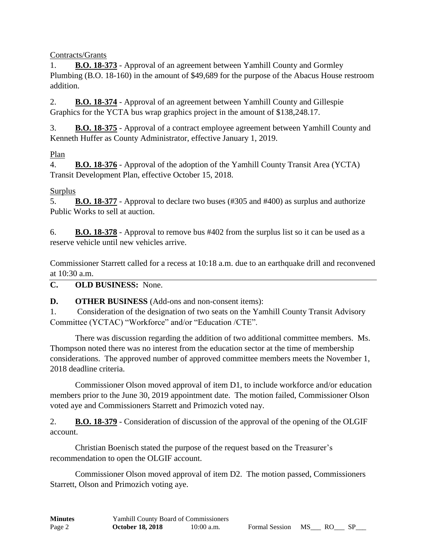Contracts/Grants

1. **B.O. 18-373** - Approval of an agreement between Yamhill County and Gormley Plumbing (B.O. 18-160) in the amount of \$49,689 for the purpose of the Abacus House restroom addition.

2. **B.O. 18-374** - Approval of an agreement between Yamhill County and Gillespie Graphics for the YCTA bus wrap graphics project in the amount of \$138,248.17.

3. **B.O. 18-375** - Approval of a contract employee agreement between Yamhill County and Kenneth Huffer as County Administrator, effective January 1, 2019.

## Plan

4. **B.O. 18-376** - Approval of the adoption of the Yamhill County Transit Area (YCTA) Transit Development Plan, effective October 15, 2018.

# **Surplus**

5. **B.O. 18-377** - Approval to declare two buses (#305 and #400) as surplus and authorize Public Works to sell at auction.

6. **B.O. 18-378** - Approval to remove bus #402 from the surplus list so it can be used as a reserve vehicle until new vehicles arrive.

Commissioner Starrett called for a recess at 10:18 a.m. due to an earthquake drill and reconvened at 10:30 a.m.

**C. OLD BUSINESS:** None.

**D. OTHER BUSINESS** (Add-ons and non-consent items):

1. Consideration of the designation of two seats on the Yamhill County Transit Advisory Committee (YCTAC) "Workforce" and/or "Education /CTE".

There was discussion regarding the addition of two additional committee members. Ms. Thompson noted there was no interest from the education sector at the time of membership considerations. The approved number of approved committee members meets the November 1, 2018 deadline criteria.

Commissioner Olson moved approval of item D1, to include workforce and/or education members prior to the June 30, 2019 appointment date. The motion failed, Commissioner Olson voted aye and Commissioners Starrett and Primozich voted nay.

2. **B.O. 18-379** - Consideration of discussion of the approval of the opening of the OLGIF account.

Christian Boenisch stated the purpose of the request based on the Treasurer's recommendation to open the OLGIF account.

Commissioner Olson moved approval of item D2. The motion passed, Commissioners Starrett, Olson and Primozich voting aye.